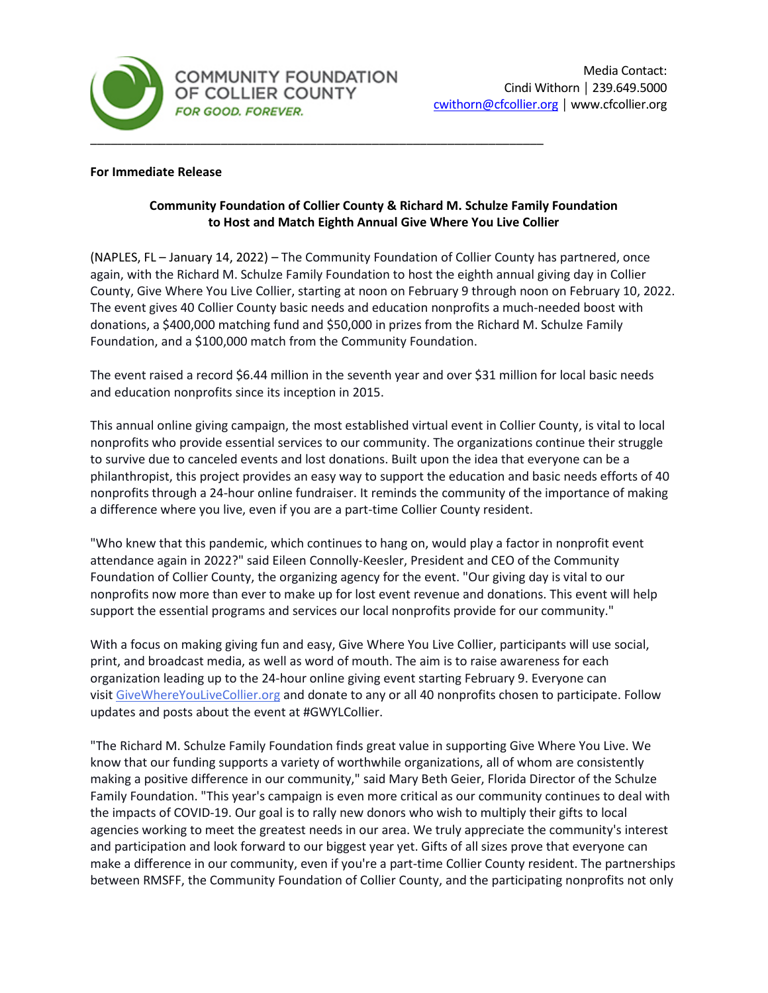

### **For Immediate Release**

# **Community Foundation of Collier County & Richard M. Schulze Family Foundation to Host and Match Eighth Annual Give Where You Live Collier**

(NAPLES, FL – January 14, 2022) – The Community Foundation of Collier County has partnered, once again, with the Richard M. Schulze Family Foundation to host the eighth annual giving day in Collier County, Give Where You Live Collier, starting at noon on February 9 through noon on February 10, 2022. The event gives 40 Collier County basic needs and education nonprofits a much-needed boost with donations, a \$400,000 matching fund and \$50,000 in prizes from the Richard M. Schulze Family Foundation, and a \$100,000 match from the Community Foundation.

The event raised a record \$6.44 million in the seventh year and over \$31 million for local basic needs and education nonprofits since its inception in 2015.

This annual online giving campaign, the most established virtual event in Collier County, is vital to local nonprofits who provide essential services to our community. The organizations continue their struggle to survive due to canceled events and lost donations. Built upon the idea that everyone can be a philanthropist, this project provides an easy way to support the education and basic needs efforts of 40 nonprofits through a 24-hour online fundraiser. It reminds the community of the importance of making a difference where you live, even if you are a part-time Collier County resident.

"Who knew that this pandemic, which continues to hang on, would play a factor in nonprofit event attendance again in 2022?" said Eileen Connolly-Keesler, President and CEO of the Community Foundation of Collier County, the organizing agency for the event. "Our giving day is vital to our nonprofits now more than ever to make up for lost event revenue and donations. This event will help support the essential programs and services our local nonprofits provide for our community."

With a focus on making giving fun and easy, Give Where You Live Collier, participants will use social, print, and broadcast media, as well as word of mouth. The aim is to raise awareness for each organization leading up to the 24-hour online giving event starting February 9. Everyone can visit [GiveWhereYouLiveCollier.org](https://www.givewhereyoulivecollier.org/) and donate to any or all 40 nonprofits chosen to participate. Follow updates and posts about the event at #GWYLCollier.

"The Richard M. Schulze Family Foundation finds great value in supporting Give Where You Live. We know that our funding supports a variety of worthwhile organizations, all of whom are consistently making a positive difference in our community," said Mary Beth Geier, Florida Director of the Schulze Family Foundation. "This year's campaign is even more critical as our community continues to deal with the impacts of COVID-19. Our goal is to rally new donors who wish to multiply their gifts to local agencies working to meet the greatest needs in our area. We truly appreciate the community's interest and participation and look forward to our biggest year yet. Gifts of all sizes prove that everyone can make a difference in our community, even if you're a part-time Collier County resident. The partnerships between RMSFF, the Community Foundation of Collier County, and the participating nonprofits not only